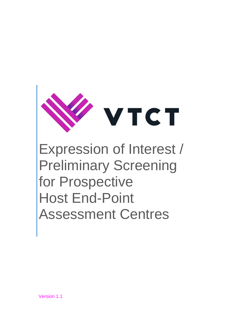

Expression of Interest / Preliminary Screening for Prospective Host End-Point Assessment Centres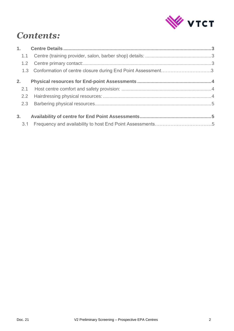

## *Contents:*

|                | 1.3 Conformation of centre closure during End Point Assessment3 |  |
|----------------|-----------------------------------------------------------------|--|
| 2 <sub>1</sub> |                                                                 |  |
|                |                                                                 |  |
| 2.2            |                                                                 |  |
|                |                                                                 |  |
|                |                                                                 |  |
|                |                                                                 |  |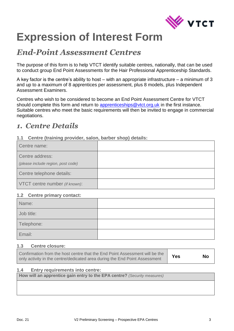

# **Expression of Interest Form**

### *End-Point Assessment Centres*

The purpose of this form is to help VTCT identify suitable centres, nationally, that can be used to conduct group End Point Assessments for the Hair Professional Apprenticeship Standards.

A key factor is the centre's ability to host – with an appropriate infrastructure – a minimum of 3 and up to a maximum of 8 apprentices per assessment, plus 8 models, plus Independent Assessment Examiners.

Centres who wish to be considered to become an End Point Assessment Centre for VTCT should complete this form and return to [apprenticeships@vtct.org.uk](mailto:apprenticeships@vtct.org.uk) in the first instance. Suitable centres who meet the basic requirements will then be invited to engage in commercial negotiations.

### <span id="page-2-0"></span>*1. Centre Details*

#### <span id="page-2-1"></span>**1.1 Centre (training provider, salon, barber shop) details:**

| Centre name:                                          |  |
|-------------------------------------------------------|--|
| Centre address:<br>(please include region, post code) |  |
| Centre telephone details:                             |  |
| VTCT centre number (if known):                        |  |

#### <span id="page-2-2"></span>**1.2 Centre primary contact:**

| Name:      |  |
|------------|--|
| Job title: |  |
| Telephone: |  |
| Email:     |  |

#### **1.3 Centre closure:**

| Confirmation from the host centre that the End Point Assessment will be the | Yes | <b>No</b> |
|-----------------------------------------------------------------------------|-----|-----------|
| only activity in the centre/dedicated area during the End Point Assessment  |     |           |

#### **1.4 Entry requirements into centre:**

**How will an apprentice gain entry to the EPA centre?** *(Security measures)*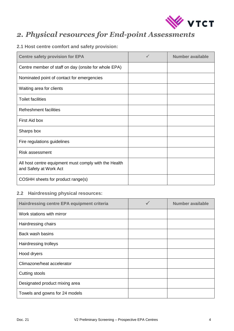

### <span id="page-3-0"></span>*2. Physical resources for End-point Assessments*

#### <span id="page-3-1"></span>**2.1 Host centre comfort and safety provision:**

| <b>Centre safety provision for EPA</b>                                          | $\checkmark$ | Number available |
|---------------------------------------------------------------------------------|--------------|------------------|
| Centre member of staff on day (onsite for whole EPA)                            |              |                  |
| Nominated point of contact for emergencies                                      |              |                  |
| Waiting area for clients                                                        |              |                  |
| <b>Toilet facilities</b>                                                        |              |                  |
| <b>Refreshment facilities</b>                                                   |              |                  |
| First Aid box                                                                   |              |                  |
| Sharps box                                                                      |              |                  |
| Fire regulations guidelines                                                     |              |                  |
| <b>Risk assessment</b>                                                          |              |                  |
| All host centre equipment must comply with the Health<br>and Safety at Work Act |              |                  |
| COSHH sheets for product range(s)                                               |              |                  |

#### <span id="page-3-2"></span>**2.2 Hairdressing physical resources:**

| <b>Hairdressing centre EPA equipment criteria</b> | <b>Number available</b> |
|---------------------------------------------------|-------------------------|
| Work stations with mirror                         |                         |
| Hairdressing chairs                               |                         |
| Back wash basins                                  |                         |
| Hairdressing trolleys                             |                         |
| Hood dryers                                       |                         |
| Climazone/heat accelerator                        |                         |
| Cutting stools                                    |                         |
| Designated product mixing area                    |                         |
| Towels and gowns for 24 models                    |                         |